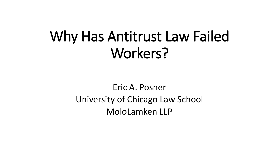# Why Has Antitrust Law Failed Workers?

Eric A. Posner University of Chicago Law School MoloLamken LLP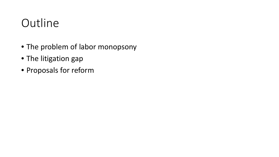## **Outline**

- The problem of labor monopsony
- The litigation gap
- Proposals for reform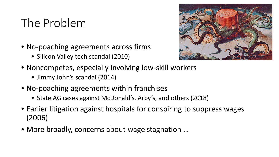## The Problem

- No-poaching agreements across firms
	- Silicon Valley tech scandal (2010)



- Noncompetes, especially involving low-skill workers
	- Jimmy John's scandal (2014)
- No-poaching agreements within franchises
	- State AG cases against McDonald's, Arby's, and others (2018)
- Earlier litigation against hospitals for conspiring to suppress wages (2006)
- More broadly, concerns about wage stagnation …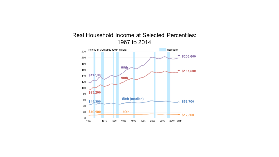

#### Real Household Income at Selected Percentiles: 1967 to 2014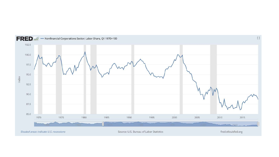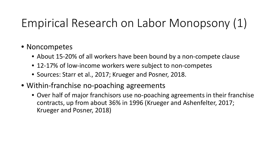## Empirical Research on Labor Monopsony (1)

#### • Noncompetes

- About 15-20% of all workers have been bound by a non-compete clause
- 12-17% of low-income workers were subject to non-competes
- Sources: Starr et al., 2017; Krueger and Posner, 2018.
- Within-franchise no-poaching agreements
	- Over half of major franchisors use no-poaching agreements in their franchise contracts, up from about 36% in 1996 (Krueger and Ashenfelter, 2017; Krueger and Posner, 2018)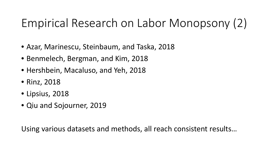## Empirical Research on Labor Monopsony (2)

- Azar, Marinescu, Steinbaum, and Taska, 2018
- Benmelech, Bergman, and Kim, 2018
- Hershbein, Macaluso, and Yeh, 2018
- Rinz, 2018
- Lipsius, 2018
- Qiu and Sojourner, 2019

Using various datasets and methods, all reach consistent results…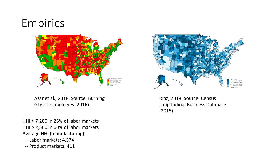## Empirics



Azar et al., 2018. Source: Burning Glass Technologies (2016)

HHI > 7,200 in 25% of labor markets HHI > 2,500 in 60% of labor markets Average HHI (manufacturing):

- -- Labor markets: 4,374
- -- Product markets: 411



Rinz, 2018. Source: Census Longitudinal Business Database (2015)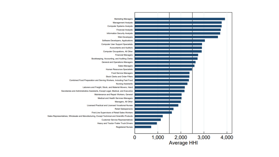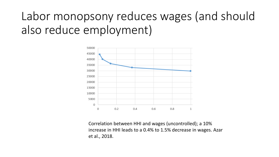## Labor monopsony reduces wages (and should also reduce employment)



Correlation between HHI and wages (uncontrolled); a 10% increase in HHI leads to a 0.4% to 1.5% decrease in wages. Azar et al., 2018.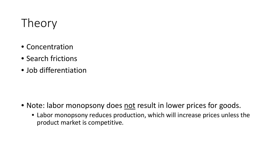## Theory

- Concentration
- Search frictions
- Job differentiation

- Note: labor monopsony does not result in lower prices for goods.
	- Labor monopsony reduces production, which will increase prices unless the product market is competitive.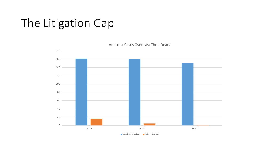## The Litigation Gap

 Sec. 1 Sec. 2 Sec. 2 Sec. 2 Sec. 2 Sec. 7 Sec. 7 Antitrust Cases Over Last Three Years

**Product Market Labor Market**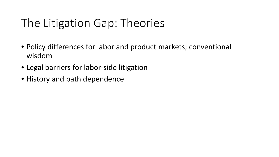## The Litigation Gap: Theories

- Policy differences for labor and product markets; conventional wisdom
- Legal barriers for labor-side litigation
- History and path dependence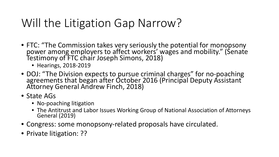## Will the Litigation Gap Narrow?

- FTC: "The Commission takes very seriously the potential for monopsony power among employers to affect workers' wages and mobility." (Senate<br>Testimony of FTC chair Joseph Simons, 2018)
	- Hearings, 2018-2019
- DOJ: "The Division expects to pursue criminal charges" for no-poaching agreements that began after October 2016 (Principal Deputy Assistant Attorney General Andrew Finch, 2018)
- State AGs
	- No-poaching litigation
	- The Antitrust and Labor Issues Working Group of National Association of Attorneys<br>General (2019)
- Congress: some monopsony-related proposals have circulated.
- Private litigation: ??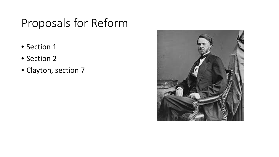## Proposals for Reform

- Section 1
- Section 2
- Clayton, section 7

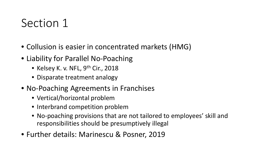### Section 1

- Collusion is easier in concentrated markets (HMG)
- Liability for Parallel No-Poaching
	- Kelsey K. v. NFL,  $9<sup>th</sup>$  Cir., 2018
	- Disparate treatment analogy
- No-Poaching Agreements in Franchises
	- Vertical/horizontal problem
	- Interbrand competition problem
	- No-poaching provisions that are not tailored to employees' skill and responsibilities should be presumptively illegal
- Further details: Marinescu & Posner, 2019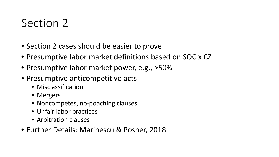### Section 2

- Section 2 cases should be easier to prove
- Presumptive labor market definitions based on SOC x CZ
- Presumptive labor market power, e.g., >50%
- Presumptive anticompetitive acts
	- Misclassification
	- Mergers
	- Noncompetes, no-poaching clauses
	- Unfair labor practices
	- Arbitration clauses
- Further Details: Marinescu & Posner, 2018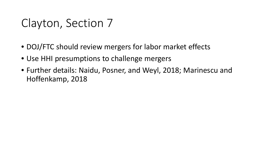#### Clayton, Section 7

- DOJ/FTC should review mergers for labor market effects
- Use HHI presumptions to challenge mergers
- Further details: Naidu, Posner, and Weyl, 2018; Marinescu and Hoffenkamp, 2018